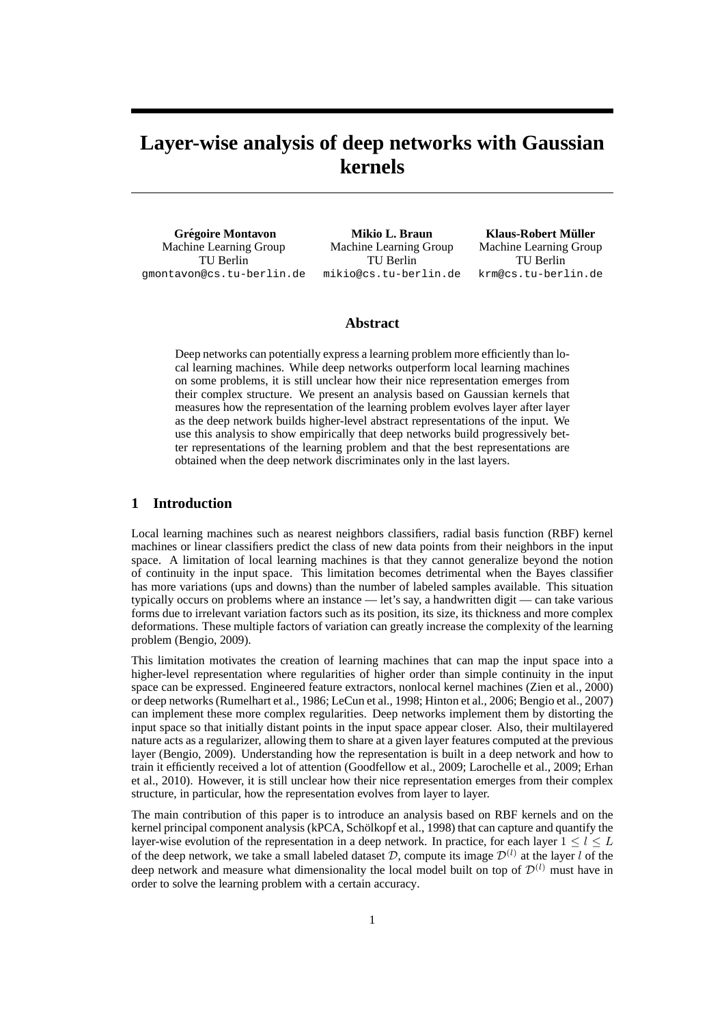# **Layer-wise analysis of deep networks with Gaussian kernels**

**Gregoire Montavon ´** Machine Learning Group TU Berlin gmontavon@cs.tu-berlin.de

**Mikio L. Braun** Machine Learning Group TU Berlin mikio@cs.tu-berlin.de

 $K$ laus-Robert Müller Machine Learning Group TU Berlin krm@cs.tu-berlin.de

#### **Abstract**

Deep networks can potentially express a learning problem more efficiently than local learning machines. While deep networks outperform local learning machines on some problems, it is still unclear how their nice representation emerges from their complex structure. We present an analysis based on Gaussian kernels that measures how the representation of the learning problem evolves layer after layer as the deep network builds higher-level abstract representations of the input. We use this analysis to show empirically that deep networks build progressively better representations of the learning problem and that the best representations are obtained when the deep network discriminates only in the last layers.

## **1 Introduction**

Local learning machines such as nearest neighbors classifiers, radial basis function (RBF) kernel machines or linear classifiers predict the class of new data points from their neighbors in the input space. A limitation of local learning machines is that they cannot generalize beyond the notion of continuity in the input space. This limitation becomes detrimental when the Bayes classifier has more variations (ups and downs) than the number of labeled samples available. This situation typically occurs on problems where an instance — let's say, a handwritten digit — can take various forms due to irrelevant variation factors such as its position, its size, its thickness and more complex deformations. These multiple factors of variation can greatly increase the complexity of the learning problem (Bengio, 2009).

This limitation motivates the creation of learning machines that can map the input space into a higher-level representation where regularities of higher order than simple continuity in the input space can be expressed. Engineered feature extractors, nonlocal kernel machines (Zien et al., 2000) or deep networks (Rumelhart et al., 1986; LeCun et al., 1998; Hinton et al., 2006; Bengio et al., 2007) can implement these more complex regularities. Deep networks implement them by distorting the input space so that initially distant points in the input space appear closer. Also, their multilayered nature acts as a regularizer, allowing them to share at a given layer features computed at the previous layer (Bengio, 2009). Understanding how the representation is built in a deep network and how to train it efficiently received a lot of attention (Goodfellow et al., 2009; Larochelle et al., 2009; Erhan et al., 2010). However, it is still unclear how their nice representation emerges from their complex structure, in particular, how the representation evolves from layer to layer.

The main contribution of this paper is to introduce an analysis based on RBF kernels and on the kernel principal component analysis (kPCA, Schölkopf et al., 1998) that can capture and quantify the layer-wise evolution of the representation in a deep network. In practice, for each layer  $1 \leq l \leq L$ of the deep network, we take a small labeled dataset D, compute its image  $\mathcal{D}^{(l)}$  at the layer l of the deep network and measure what dimensionality the local model built on top of  $\mathcal{D}^{(l)}$  must have in order to solve the learning problem with a certain accuracy.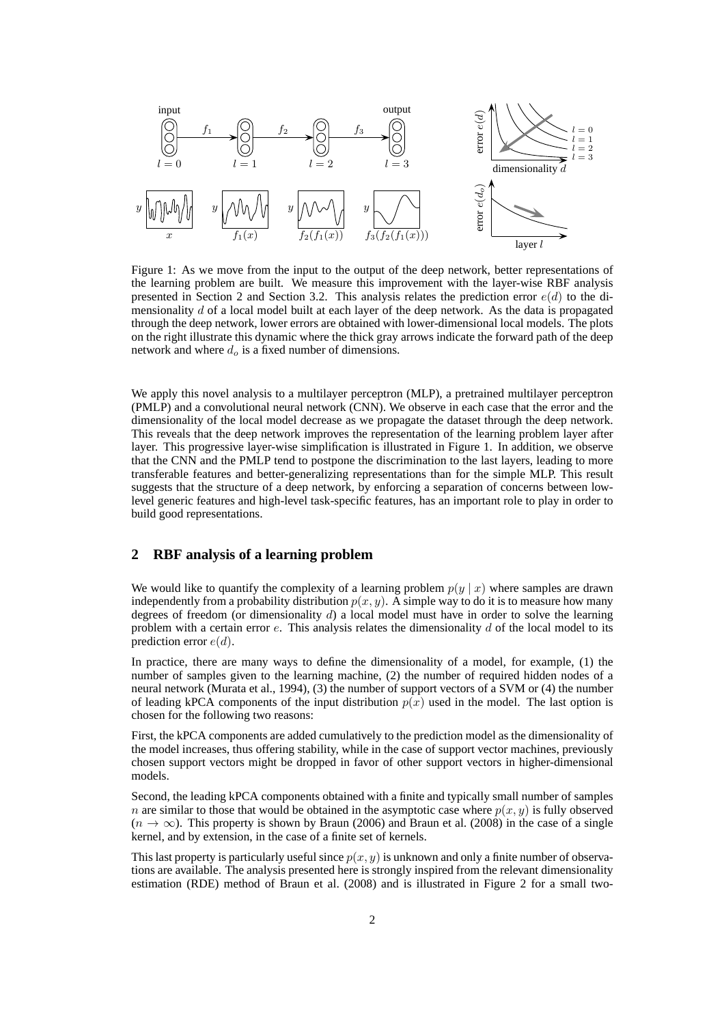

Figure 1: As we move from the input to the output of the deep network, better representations of the learning problem are built. We measure this improvement with the layer-wise RBF analysis presented in Section 2 and Section 3.2. This analysis relates the prediction error  $e(d)$  to the dimensionality d of a local model built at each layer of the deep network. As the data is propagated through the deep network, lower errors are obtained with lower-dimensional local models. The plots on the right illustrate this dynamic where the thick gray arrows indicate the forward path of the deep network and where  $d_o$  is a fixed number of dimensions.

We apply this novel analysis to a multilayer perceptron (MLP), a pretrained multilayer perceptron (PMLP) and a convolutional neural network (CNN). We observe in each case that the error and the dimensionality of the local model decrease as we propagate the dataset through the deep network. This reveals that the deep network improves the representation of the learning problem layer after layer. This progressive layer-wise simplification is illustrated in Figure 1. In addition, we observe that the CNN and the PMLP tend to postpone the discrimination to the last layers, leading to more transferable features and better-generalizing representations than for the simple MLP. This result suggests that the structure of a deep network, by enforcing a separation of concerns between lowlevel generic features and high-level task-specific features, has an important role to play in order to build good representations.

## **2 RBF analysis of a learning problem**

We would like to quantify the complexity of a learning problem  $p(y | x)$  where samples are drawn independently from a probability distribution  $p(x, y)$ . A simple way to do it is to measure how many degrees of freedom (or dimensionality  $d$ ) a local model must have in order to solve the learning problem with a certain error  $e$ . This analysis relates the dimensionality  $d$  of the local model to its prediction error  $e(d)$ .

In practice, there are many ways to define the dimensionality of a model, for example, (1) the number of samples given to the learning machine, (2) the number of required hidden nodes of a neural network (Murata et al., 1994), (3) the number of support vectors of a SVM or (4) the number of leading kPCA components of the input distribution  $p(x)$  used in the model. The last option is chosen for the following two reasons:

First, the kPCA components are added cumulatively to the prediction model as the dimensionality of the model increases, thus offering stability, while in the case of support vector machines, previously chosen support vectors might be dropped in favor of other support vectors in higher-dimensional models.

Second, the leading kPCA components obtained with a finite and typically small number of samples *n* are similar to those that would be obtained in the asymptotic case where  $p(x, y)$  is fully observed  $(n \to \infty)$ . This property is shown by Braun (2006) and Braun et al. (2008) in the case of a single kernel, and by extension, in the case of a finite set of kernels.

This last property is particularly useful since  $p(x, y)$  is unknown and only a finite number of observations are available. The analysis presented here is strongly inspired from the relevant dimensionality estimation (RDE) method of Braun et al. (2008) and is illustrated in Figure 2 for a small two-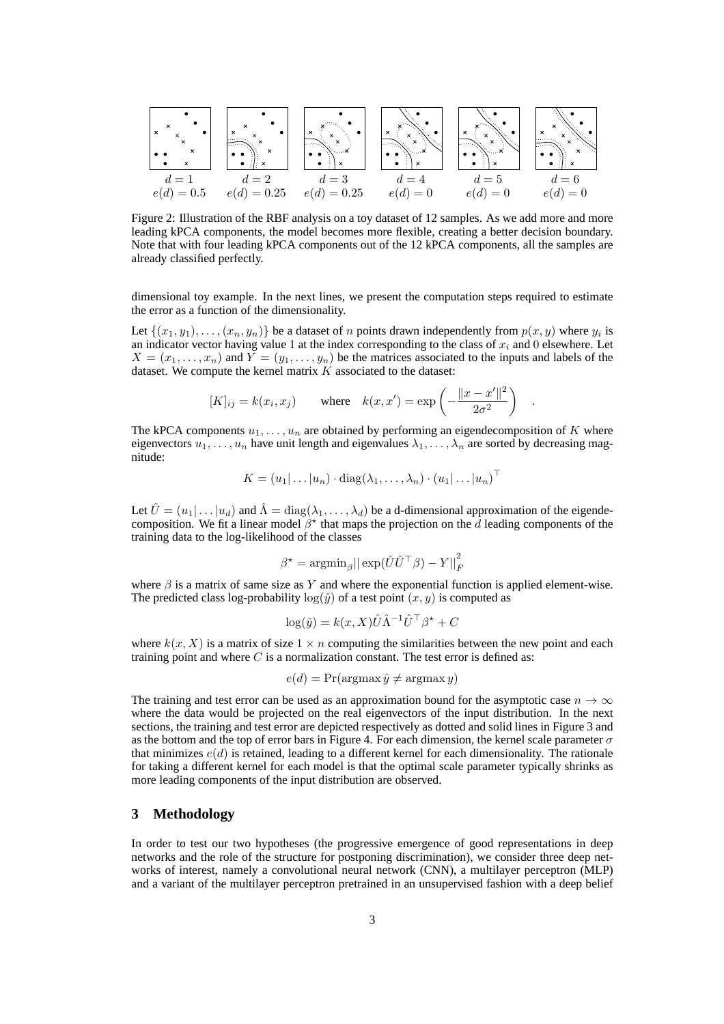

Figure 2: Illustration of the RBF analysis on a toy dataset of 12 samples. As we add more and more leading kPCA components, the model becomes more flexible, creating a better decision boundary. Note that with four leading kPCA components out of the 12 kPCA components, all the samples are already classified perfectly.

dimensional toy example. In the next lines, we present the computation steps required to estimate the error as a function of the dimensionality.

Let  $\{(x_1, y_1), \ldots, (x_n, y_n)\}\$  be a dataset of n points drawn independently from  $p(x, y)$  where  $y_i$  is an indicator vector having value 1 at the index corresponding to the class of  $x_i$  and 0 elsewhere. Let  $X = (x_1, \ldots, x_n)$  and  $\overline{Y} = (y_1, \ldots, y_n)$  be the matrices associated to the inputs and labels of the dataset. We compute the kernel matrix  $K$  associated to the dataset:

$$
[K]_{ij} = k(x_i, x_j) \quad \text{where} \quad k(x, x') = \exp\left(-\frac{\|x - x'\|^2}{2\sigma^2}\right)
$$

.

The kPCA components  $u_1, \ldots, u_n$  are obtained by performing an eigendecomposition of K where eigenvectors  $u_1, \ldots, u_n$  have unit length and eigenvalues  $\lambda_1, \ldots, \lambda_n$  are sorted by decreasing magnitude:

$$
K = (u_1 | \dots | u_n) \cdot \text{diag}(\lambda_1, \dots, \lambda_n) \cdot (u_1 | \dots | u_n)^\top
$$

Let  $\hat{U} = (u_1 | \dots | u_d)$  and  $\hat{\Lambda} = \text{diag}(\lambda_1, \dots, \lambda_d)$  be a d-dimensional approximation of the eigendecomposition. We fit a linear model  $\beta^*$  that maps the projection on the d leading components of the training data to the log-likelihood of the classes

$$
\beta^\star = \mathrm{argmin}_{\beta} || \exp(\hat{U}\hat{U}^\top \beta) - Y ||_F^2
$$

where  $\beta$  is a matrix of same size as Y and where the exponential function is applied element-wise. The predicted class log-probability  $log(\hat{y})$  of a test point  $(x, y)$  is computed as

$$
\log(\hat{y}) = k(x, X)\hat{U}\hat{\Lambda}^{-1}\hat{U}^{\top}\beta^{\star} + C
$$

where  $k(x, X)$  is a matrix of size  $1 \times n$  computing the similarities between the new point and each training point and where  $C$  is a normalization constant. The test error is defined as:

$$
e(d) = \Pr(\operatorname{argmax} \hat{y} \neq \operatorname{argmax} y)
$$

The training and test error can be used as an approximation bound for the asymptotic case  $n \to \infty$ where the data would be projected on the real eigenvectors of the input distribution. In the next sections, the training and test error are depicted respectively as dotted and solid lines in Figure 3 and as the bottom and the top of error bars in Figure 4. For each dimension, the kernel scale parameter  $\sigma$ that minimizes  $e(d)$  is retained, leading to a different kernel for each dimensionality. The rationale for taking a different kernel for each model is that the optimal scale parameter typically shrinks as more leading components of the input distribution are observed.

#### **3 Methodology**

In order to test our two hypotheses (the progressive emergence of good representations in deep networks and the role of the structure for postponing discrimination), we consider three deep networks of interest, namely a convolutional neural network (CNN), a multilayer perceptron (MLP) and a variant of the multilayer perceptron pretrained in an unsupervised fashion with a deep belief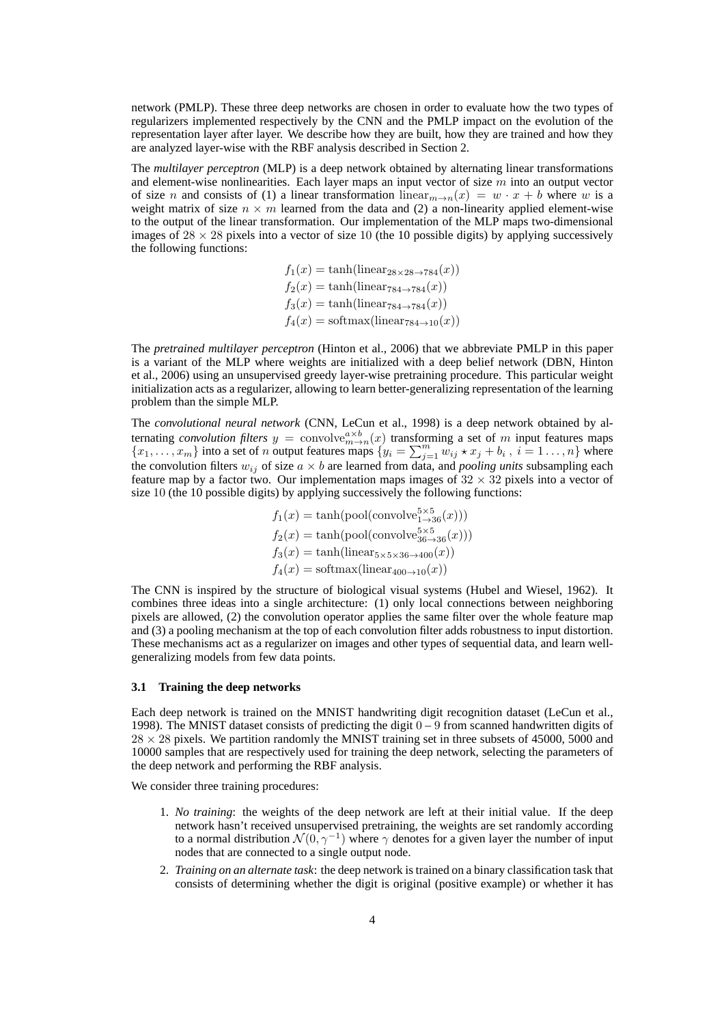network (PMLP). These three deep networks are chosen in order to evaluate how the two types of regularizers implemented respectively by the CNN and the PMLP impact on the evolution of the representation layer after layer. We describe how they are built, how they are trained and how they are analyzed layer-wise with the RBF analysis described in Section 2.

The *multilayer perceptron* (MLP) is a deep network obtained by alternating linear transformations and element-wise nonlinearities. Each layer maps an input vector of size  $m$  into an output vector of size n and consists of (1) a linear transformation linear $_{m\to n}(x) = w \cdot x + b$  where w is a weight matrix of size  $n \times m$  learned from the data and (2) a non-linearity applied element-wise to the output of the linear transformation. Our implementation of the MLP maps two-dimensional images of  $28 \times 28$  pixels into a vector of size 10 (the 10 possible digits) by applying successively the following functions:

> $f_1(x) = \tanh(\text{linear}_{28\times 28\to 784}(x))$  $f_2(x) = \tanh(\text{linear}_{784\to 784}(x))$  $f_3(x) = \tanh(\text{linear}_{784\rightarrow 784}(x))$  $f_4(x) = \text{softmax}(\text{linear}_{784\rightarrow 10}(x))$

The *pretrained multilayer perceptron* (Hinton et al., 2006) that we abbreviate PMLP in this paper is a variant of the MLP where weights are initialized with a deep belief network (DBN, Hinton et al., 2006) using an unsupervised greedy layer-wise pretraining procedure. This particular weight initialization acts as a regularizer, allowing to learn better-generalizing representation of the learning problem than the simple MLP.

The *convolutional neural network* (CNN, LeCun et al., 1998) is a deep network obtained by alternating *convolution filters*  $y = \text{convolve}_{m \to n}^{\alpha \times b}(x)$  transforming a set of m input features maps  ${x_1, \ldots, x_m}$  into a set of n output features maps  ${y_i = \sum_{j=1}^m w_{ij} \star x_j + b_i}$ ,  $i = 1, \ldots, n}$  where the convolution filters  $w_{ij}$  of size  $a \times b$  are learned from data, and *pooling units* subsampling each feature map by a factor two. Our implementation maps images of  $32 \times 32$  pixels into a vector of size 10 (the 10 possible digits) by applying successively the following functions:

> $f_1(x) = \tanh(pool(convolve_{1\to 36}^{5\times 5}(x)))$  $f_2(x) = \tanh(pool(convolve_{36\to 36}^{5\times 5}(x)))$  $f_3(x) = \tanh(\text{linear}_{5 \times 5 \times 36 \to 400}(x))$  $f_4(x) = \text{softmax}(\text{linear}_{400 \to 10}(x))$

The CNN is inspired by the structure of biological visual systems (Hubel and Wiesel, 1962). It combines three ideas into a single architecture: (1) only local connections between neighboring pixels are allowed, (2) the convolution operator applies the same filter over the whole feature map and (3) a pooling mechanism at the top of each convolution filter adds robustness to input distortion. These mechanisms act as a regularizer on images and other types of sequential data, and learn wellgeneralizing models from few data points.

#### **3.1 Training the deep networks**

Each deep network is trained on the MNIST handwriting digit recognition dataset (LeCun et al., 1998). The MNIST dataset consists of predicting the digit  $0 - 9$  from scanned handwritten digits of  $28 \times 28$  pixels. We partition randomly the MNIST training set in three subsets of 45000, 5000 and 10000 samples that are respectively used for training the deep network, selecting the parameters of the deep network and performing the RBF analysis.

We consider three training procedures:

- 1. *No training*: the weights of the deep network are left at their initial value. If the deep network hasn't received unsupervised pretraining, the weights are set randomly according to a normal distribution  $\mathcal{N}(0, \gamma^{-1})$  where  $\gamma$  denotes for a given layer the number of input nodes that are connected to a single output node.
- 2. *Training on an alternate task*: the deep network is trained on a binary classification task that consists of determining whether the digit is original (positive example) or whether it has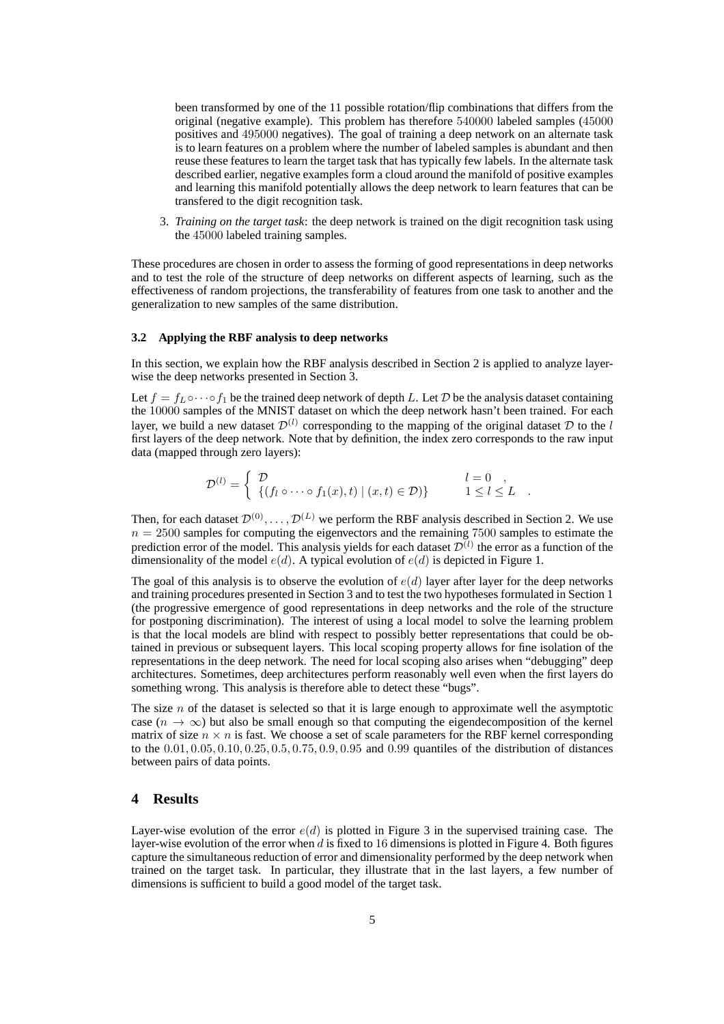been transformed by one of the 11 possible rotation/flip combinations that differs from the original (negative example). This problem has therefore 540000 labeled samples (45000 positives and 495000 negatives). The goal of training a deep network on an alternate task is to learn features on a problem where the number of labeled samples is abundant and then reuse these features to learn the target task that has typically few labels. In the alternate task described earlier, negative examples form a cloud around the manifold of positive examples and learning this manifold potentially allows the deep network to learn features that can be transfered to the digit recognition task.

3. *Training on the target task*: the deep network is trained on the digit recognition task using the 45000 labeled training samples.

These procedures are chosen in order to assess the forming of good representations in deep networks and to test the role of the structure of deep networks on different aspects of learning, such as the effectiveness of random projections, the transferability of features from one task to another and the generalization to new samples of the same distribution.

#### **3.2 Applying the RBF analysis to deep networks**

In this section, we explain how the RBF analysis described in Section 2 is applied to analyze layerwise the deep networks presented in Section 3.

Let  $f = f_L \circ \cdots \circ f_1$  be the trained deep network of depth L. Let D be the analysis dataset containing the 10000 samples of the MNIST dataset on which the deep network hasn't been trained. For each layer, we build a new dataset  $\mathcal{D}^{(l)}$  corresponding to the mapping of the original dataset  $\mathcal D$  to the l first layers of the deep network. Note that by definition, the index zero corresponds to the raw input data (mapped through zero layers):

$$
\mathcal{D}^{(l)} = \begin{cases} \mathcal{D} & l = 0, \\ \{(f_l \circ \cdots \circ f_1(x), t) \mid (x, t) \in \mathcal{D})\} & 1 \leq l \leq L. \end{cases}
$$

Then, for each dataset  $\mathcal{D}^{(0)}, \ldots, \mathcal{D}^{(L)}$  we perform the RBF analysis described in Section 2. We use  $n = 2500$  samples for computing the eigenvectors and the remaining 7500 samples to estimate the prediction error of the model. This analysis yields for each dataset  $\mathcal{D}^{(l)}$  the error as a function of the dimensionality of the model  $e(d)$ . A typical evolution of  $e(d)$  is depicted in Figure 1.

The goal of this analysis is to observe the evolution of  $e(d)$  layer after layer for the deep networks and training procedures presented in Section 3 and to test the two hypotheses formulated in Section 1 (the progressive emergence of good representations in deep networks and the role of the structure for postponing discrimination). The interest of using a local model to solve the learning problem is that the local models are blind with respect to possibly better representations that could be obtained in previous or subsequent layers. This local scoping property allows for fine isolation of the representations in the deep network. The need for local scoping also arises when "debugging" deep architectures. Sometimes, deep architectures perform reasonably well even when the first layers do something wrong. This analysis is therefore able to detect these "bugs".

The size  $n$  of the dataset is selected so that it is large enough to approximate well the asymptotic case ( $n \to \infty$ ) but also be small enough so that computing the eigendecomposition of the kernel matrix of size  $n \times n$  is fast. We choose a set of scale parameters for the RBF kernel corresponding to the 0.01, 0.05, 0.10, 0.25, 0.5, 0.75, 0.9, 0.95 and 0.99 quantiles of the distribution of distances between pairs of data points.

#### **4 Results**

Layer-wise evolution of the error  $e(d)$  is plotted in Figure 3 in the supervised training case. The layer-wise evolution of the error when  $d$  is fixed to 16 dimensions is plotted in Figure 4. Both figures capture the simultaneous reduction of error and dimensionality performed by the deep network when trained on the target task. In particular, they illustrate that in the last layers, a few number of dimensions is sufficient to build a good model of the target task.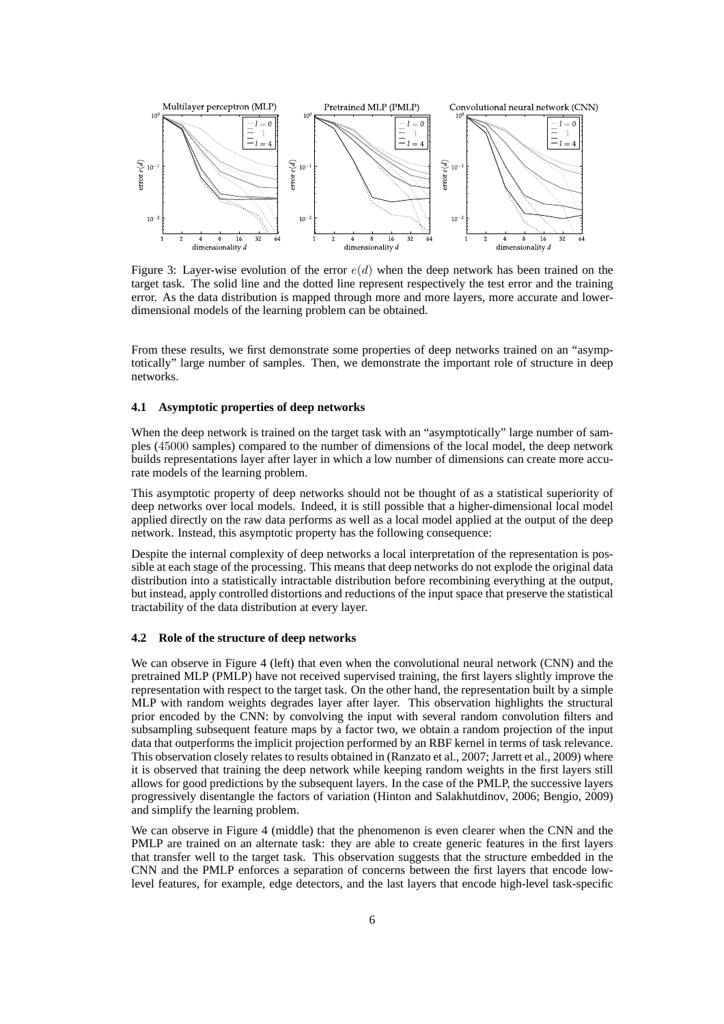

Figure 3: Layer-wise evolution of the error  $e(d)$  when the deep network has been trained on the target task. The solid line and the dotted line represent respectively the test error and the training error. As the data distribution is mapped through more and more layers, more accurate and lowerdimensional models of the learning problem can be obtained.

From these results, we first demonstrate some properties of deep networks trained on an "asymptotically" large number of samples. Then, we demonstrate the important role of structure in deep networks.

#### **4.1 Asymptotic properties of deep networks**

When the deep network is trained on the target task with an "asymptotically" large number of samples (45000 samples) compared to the number of dimensions of the local model, the deep network builds representations layer after layer in which a low number of dimensions can create more accurate models of the learning problem.

This asymptotic property of deep networks should not be thought of as a statistical superiority of deep networks over local models. Indeed, it is still possible that a higher-dimensional local model applied directly on the raw data performs as well as a local model applied at the output of the deep network. Instead, this asymptotic property has the following consequence:

Despite the internal complexity of deep networks a local interpretation of the representation is possible at each stage of the processing. This means that deep networks do not explode the original data distribution into a statistically intractable distribution before recombining everything at the output, but instead, apply controlled distortions and reductions of the input space that preserve the statistical tractability of the data distribution at every layer.

#### **4.2 Role of the structure of deep networks**

We can observe in Figure 4 (left) that even when the convolutional neural network (CNN) and the pretrained MLP (PMLP) have not received supervised training, the first layers slightly improve the representation with respect to the target task. On the other hand, the representation built by a simple MLP with random weights degrades layer after layer. This observation highlights the structural prior encoded by the CNN: by convolving the input with several random convolution filters and subsampling subsequent feature maps by a factor two, we obtain a random projection of the input data that outperforms the implicit projection performed by an RBF kernel in terms of task relevance. This observation closely relates to results obtained in (Ranzato et al., 2007; Jarrett et al., 2009) where it is observed that training the deep network while keeping random weights in the first layers still allows for good predictions by the subsequent layers. In the case of the PMLP, the successive layers progressively disentangle the factors of variation (Hinton and Salakhutdinov, 2006; Bengio, 2009) and simplify the learning problem.

We can observe in Figure 4 (middle) that the phenomenon is even clearer when the CNN and the PMLP are trained on an alternate task: they are able to create generic features in the first layers that transfer well to the target task. This observation suggests that the structure embedded in the CNN and the PMLP enforces a separation of concerns between the first layers that encode lowlevel features, for example, edge detectors, and the last layers that encode high-level task-specific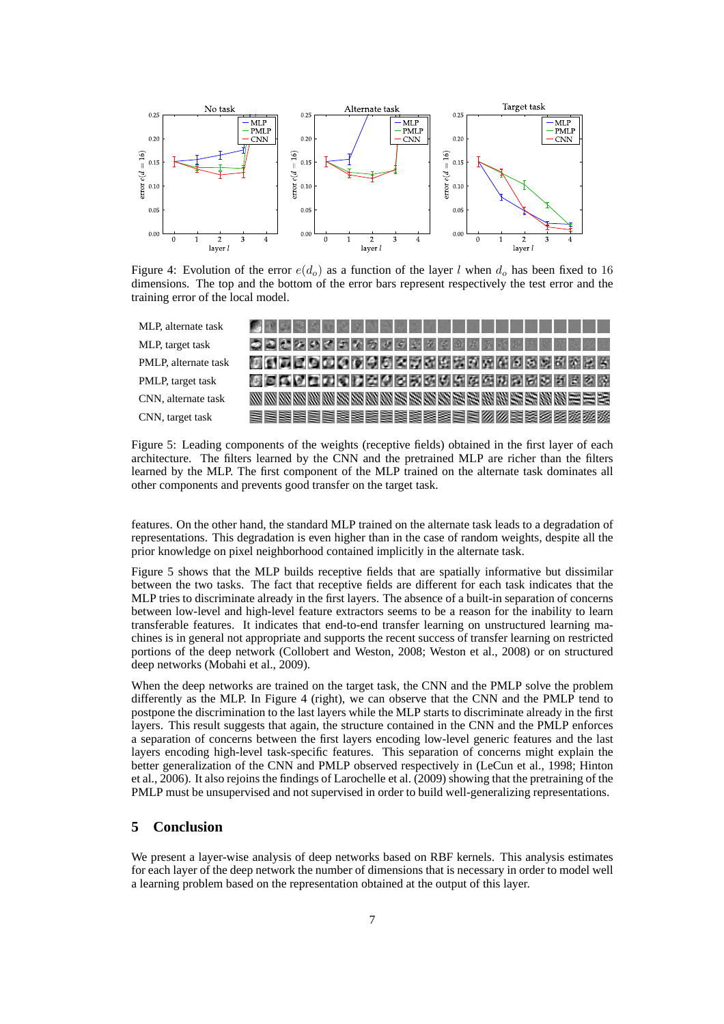

Figure 4: Evolution of the error  $e(d_o)$  as a function of the layer l when  $d_o$  has been fixed to 16 dimensions. The top and the bottom of the error bars represent respectively the test error and the training error of the local model.



Figure 5: Leading components of the weights (receptive fields) obtained in the first layer of each architecture. The filters learned by the CNN and the pretrained MLP are richer than the filters learned by the MLP. The first component of the MLP trained on the alternate task dominates all other components and prevents good transfer on the target task.

features. On the other hand, the standard MLP trained on the alternate task leads to a degradation of representations. This degradation is even higher than in the case of random weights, despite all the prior knowledge on pixel neighborhood contained implicitly in the alternate task.

Figure 5 shows that the MLP builds receptive fields that are spatially informative but dissimilar between the two tasks. The fact that receptive fields are different for each task indicates that the MLP tries to discriminate already in the first layers. The absence of a built-in separation of concerns between low-level and high-level feature extractors seems to be a reason for the inability to learn transferable features. It indicates that end-to-end transfer learning on unstructured learning machines is in general not appropriate and supports the recent success of transfer learning on restricted portions of the deep network (Collobert and Weston, 2008; Weston et al., 2008) or on structured deep networks (Mobahi et al., 2009).

When the deep networks are trained on the target task, the CNN and the PMLP solve the problem differently as the MLP. In Figure 4 (right), we can observe that the CNN and the PMLP tend to postpone the discrimination to the last layers while the MLP starts to discriminate already in the first layers. This result suggests that again, the structure contained in the CNN and the PMLP enforces a separation of concerns between the first layers encoding low-level generic features and the last layers encoding high-level task-specific features. This separation of concerns might explain the better generalization of the CNN and PMLP observed respectively in (LeCun et al., 1998; Hinton et al., 2006). It also rejoins the findings of Larochelle et al. (2009) showing that the pretraining of the PMLP must be unsupervised and not supervised in order to build well-generalizing representations.

## **5 Conclusion**

We present a layer-wise analysis of deep networks based on RBF kernels. This analysis estimates for each layer of the deep network the number of dimensions that is necessary in order to model well a learning problem based on the representation obtained at the output of this layer.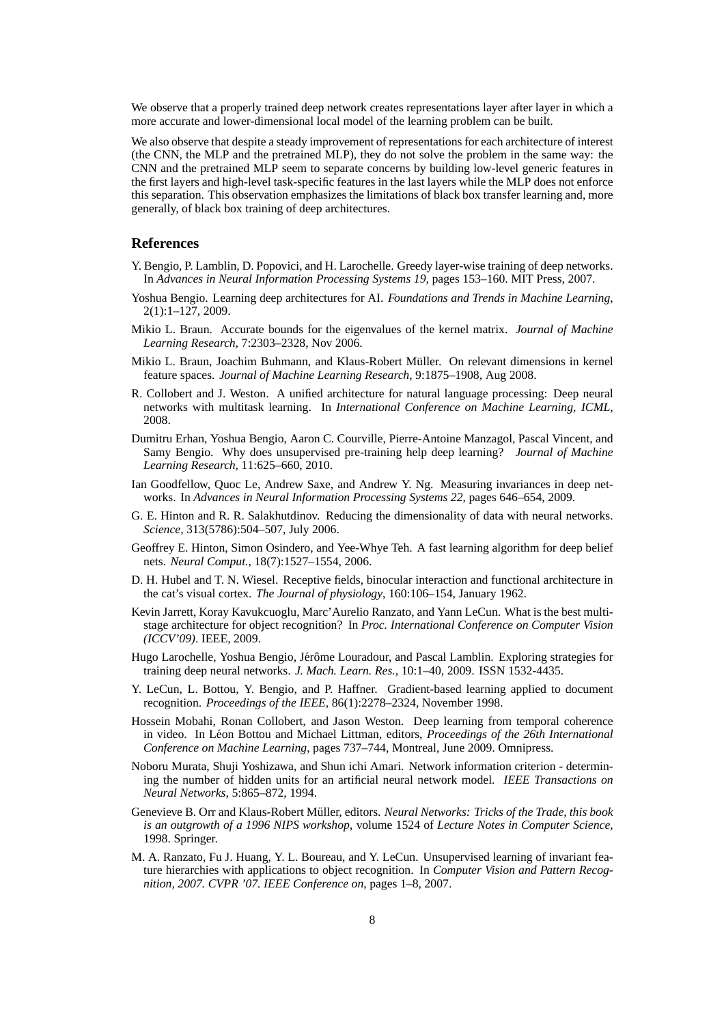We observe that a properly trained deep network creates representations layer after layer in which a more accurate and lower-dimensional local model of the learning problem can be built.

We also observe that despite a steady improvement of representations for each architecture of interest (the CNN, the MLP and the pretrained MLP), they do not solve the problem in the same way: the CNN and the pretrained MLP seem to separate concerns by building low-level generic features in the first layers and high-level task-specific features in the last layers while the MLP does not enforce this separation. This observation emphasizes the limitations of black box transfer learning and, more generally, of black box training of deep architectures.

### **References**

- Y. Bengio, P. Lamblin, D. Popovici, and H. Larochelle. Greedy layer-wise training of deep networks. In *Advances in Neural Information Processing Systems 19*, pages 153–160. MIT Press, 2007.
- Yoshua Bengio. Learning deep architectures for AI. *Foundations and Trends in Machine Learning*, 2(1):1–127, 2009.
- Mikio L. Braun. Accurate bounds for the eigenvalues of the kernel matrix. *Journal of Machine Learning Research*, 7:2303–2328, Nov 2006.
- Mikio L. Braun, Joachim Buhmann, and Klaus-Robert Muller. On relevant dimensions in kernel ¨ feature spaces. *Journal of Machine Learning Research*, 9:1875–1908, Aug 2008.
- R. Collobert and J. Weston. A unified architecture for natural language processing: Deep neural networks with multitask learning. In *International Conference on Machine Learning, ICML*, 2008.
- Dumitru Erhan, Yoshua Bengio, Aaron C. Courville, Pierre-Antoine Manzagol, Pascal Vincent, and Samy Bengio. Why does unsupervised pre-training help deep learning? *Journal of Machine Learning Research*, 11:625–660, 2010.
- Ian Goodfellow, Quoc Le, Andrew Saxe, and Andrew Y. Ng. Measuring invariances in deep networks. In *Advances in Neural Information Processing Systems 22*, pages 646–654, 2009.
- G. E. Hinton and R. R. Salakhutdinov. Reducing the dimensionality of data with neural networks. *Science*, 313(5786):504–507, July 2006.
- Geoffrey E. Hinton, Simon Osindero, and Yee-Whye Teh. A fast learning algorithm for deep belief nets. *Neural Comput.*, 18(7):1527–1554, 2006.
- D. H. Hubel and T. N. Wiesel. Receptive fields, binocular interaction and functional architecture in the cat's visual cortex. *The Journal of physiology*, 160:106–154, January 1962.
- Kevin Jarrett, Koray Kavukcuoglu, Marc'Aurelio Ranzato, and Yann LeCun. What is the best multistage architecture for object recognition? In *Proc. International Conference on Computer Vision (ICCV'09)*. IEEE, 2009.
- Hugo Larochelle, Yoshua Bengio, Jérôme Louradour, and Pascal Lamblin. Exploring strategies for training deep neural networks. *J. Mach. Learn. Res.*, 10:1–40, 2009. ISSN 1532-4435.
- Y. LeCun, L. Bottou, Y. Bengio, and P. Haffner. Gradient-based learning applied to document recognition. *Proceedings of the IEEE*, 86(1):2278–2324, November 1998.
- Hossein Mobahi, Ronan Collobert, and Jason Weston. Deep learning from temporal coherence in video. In Léon Bottou and Michael Littman, editors, Proceedings of the 26th International *Conference on Machine Learning*, pages 737–744, Montreal, June 2009. Omnipress.
- Noboru Murata, Shuji Yoshizawa, and Shun ichi Amari. Network information criterion determining the number of hidden units for an artificial neural network model. *IEEE Transactions on Neural Networks*, 5:865–872, 1994.
- Genevieve B. Orr and Klaus-Robert Müller, editors. Neural Networks: Tricks of the Trade, this book *is an outgrowth of a 1996 NIPS workshop*, volume 1524 of *Lecture Notes in Computer Science*, 1998. Springer.
- M. A. Ranzato, Fu J. Huang, Y. L. Boureau, and Y. LeCun. Unsupervised learning of invariant feature hierarchies with applications to object recognition. In *Computer Vision and Pattern Recognition, 2007. CVPR '07. IEEE Conference on*, pages 1–8, 2007.